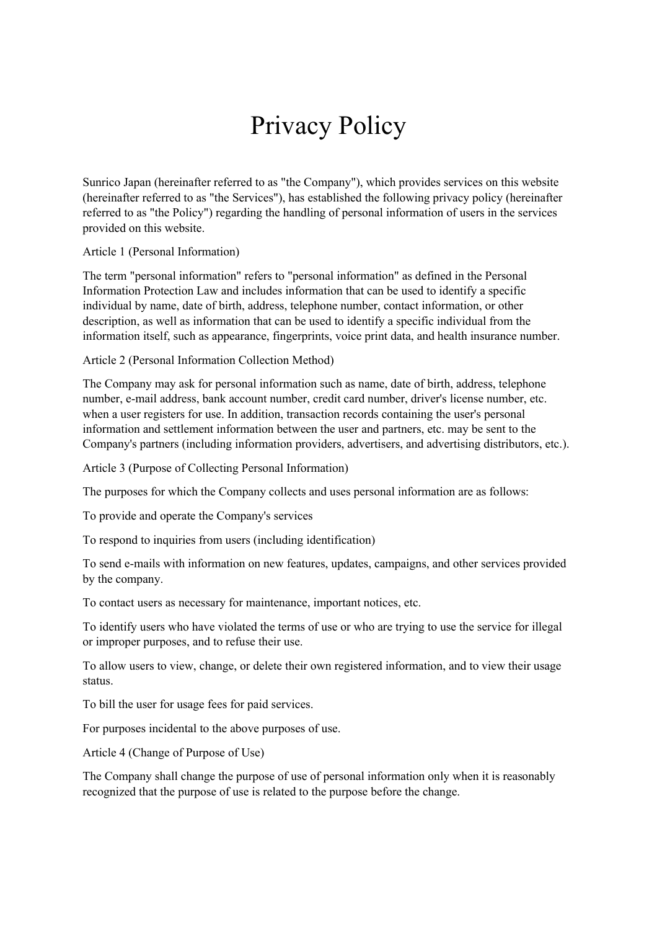## Privacy Policy

Sunrico Japan (hereinafter referred to as "the Company"), which provides services on this website (hereinafter referred to as "the Services"), has established the following privacy policy (hereinafter referred to as "the Policy") regarding the handling of personal information of users in the services provided on this website.

Article 1 (Personal Information)

The term "personal information" refers to "personal information" as defined in the Personal Information Protection Law and includes information that can be used to identify a specific individual by name, date of birth, address, telephone number, contact information, or other description, as well as information that can be used to identify a specific individual from the information itself, such as appearance, fingerprints, voice print data, and health insurance number.

Article 2 (Personal Information Collection Method)

The Company may ask for personal information such as name, date of birth, address, telephone number, e-mail address, bank account number, credit card number, driver's license number, etc. when a user registers for use. In addition, transaction records containing the user's personal information and settlement information between the user and partners, etc. may be sent to the Company's partners (including information providers, advertisers, and advertising distributors, etc.).

Article 3 (Purpose of Collecting Personal Information)

The purposes for which the Company collects and uses personal information are as follows:

To provide and operate the Company's services

To respond to inquiries from users (including identification)

To send e-mails with information on new features, updates, campaigns, and other services provided by the company.

To contact users as necessary for maintenance, important notices, etc.

To identify users who have violated the terms of use or who are trying to use the service for illegal or improper purposes, and to refuse their use.

To allow users to view, change, or delete their own registered information, and to view their usage status.

To bill the user for usage fees for paid services.

For purposes incidental to the above purposes of use.

Article 4 (Change of Purpose of Use)

The Company shall change the purpose of use of personal information only when it is reasonably recognized that the purpose of use is related to the purpose before the change.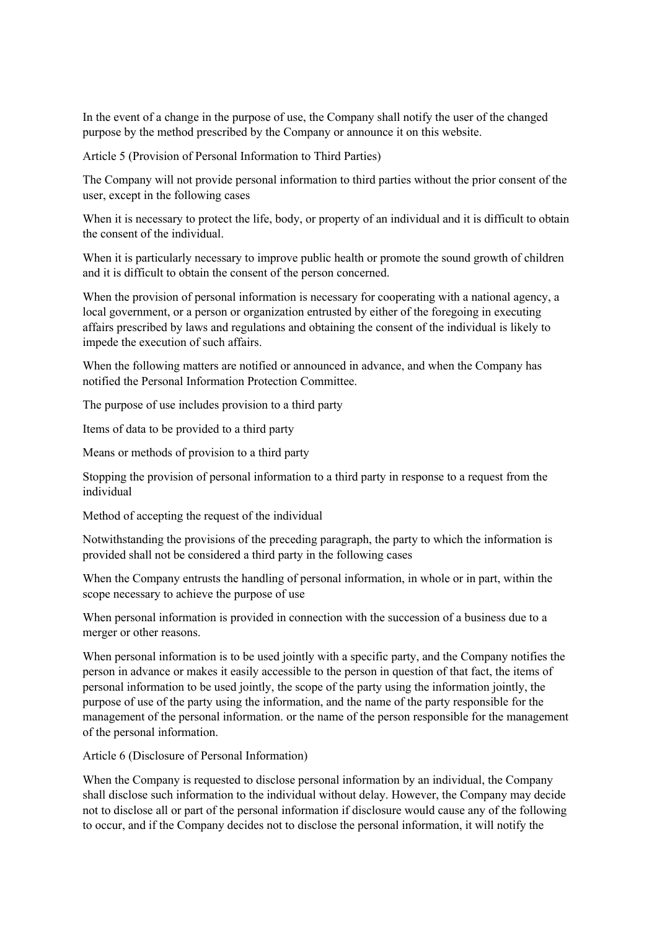In the event of a change in the purpose of use, the Company shall notify the user of the changed purpose by the method prescribed by the Company or announce it on this website.

Article 5 (Provision of Personal Information to Third Parties)

The Company will not provide personal information to third parties without the prior consent of the user, except in the following cases

When it is necessary to protect the life, body, or property of an individual and it is difficult to obtain the consent of the individual.

When it is particularly necessary to improve public health or promote the sound growth of children and it is difficult to obtain the consent of the person concerned.

When the provision of personal information is necessary for cooperating with a national agency, a local government, or a person or organization entrusted by either of the foregoing in executing affairs prescribed by laws and regulations and obtaining the consent of the individual is likely to impede the execution of such affairs.

When the following matters are notified or announced in advance, and when the Company has notified the Personal Information Protection Committee.

The purpose of use includes provision to a third party

Items of data to be provided to a third party

Means or methods of provision to a third party

Stopping the provision of personal information to a third party in response to a request from the individual

Method of accepting the request of the individual

Notwithstanding the provisions of the preceding paragraph, the party to which the information is provided shall not be considered a third party in the following cases

When the Company entrusts the handling of personal information, in whole or in part, within the scope necessary to achieve the purpose of use

When personal information is provided in connection with the succession of a business due to a merger or other reasons.

When personal information is to be used jointly with a specific party, and the Company notifies the person in advance or makes it easily accessible to the person in question of that fact, the items of personal information to be used jointly, the scope of the party using the information jointly, the purpose of use of the party using the information, and the name of the party responsible for the management of the personal information. or the name of the person responsible for the management of the personal information.

Article 6 (Disclosure of Personal Information)

When the Company is requested to disclose personal information by an individual, the Company shall disclose such information to the individual without delay. However, the Company may decide not to disclose all or part of the personal information if disclosure would cause any of the following to occur, and if the Company decides not to disclose the personal information, it will notify the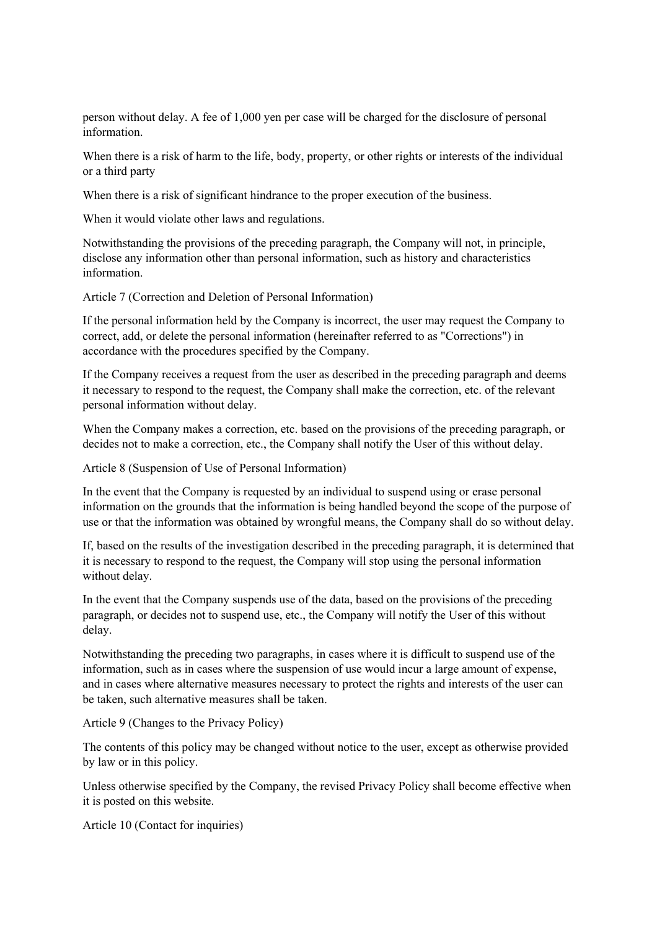person without delay. A fee of 1,000 yen per case will be charged for the disclosure of personal information.

When there is a risk of harm to the life, body, property, or other rights or interests of the individual or a third party

When there is a risk of significant hindrance to the proper execution of the business.

When it would violate other laws and regulations.

Notwithstanding the provisions of the preceding paragraph, the Company will not, in principle, disclose any information other than personal information, such as history and characteristics information.

Article 7 (Correction and Deletion of Personal Information)

If the personal information held by the Company is incorrect, the user may request the Company to correct, add, or delete the personal information (hereinafter referred to as "Corrections") in accordance with the procedures specified by the Company.

If the Company receives a request from the user as described in the preceding paragraph and deems it necessary to respond to the request, the Company shall make the correction, etc. of the relevant personal information without delay.

When the Company makes a correction, etc. based on the provisions of the preceding paragraph, or decides not to make a correction, etc., the Company shall notify the User of this without delay.

Article 8 (Suspension of Use of Personal Information)

In the event that the Company is requested by an individual to suspend using or erase personal information on the grounds that the information is being handled beyond the scope of the purpose of use or that the information was obtained by wrongful means, the Company shall do so without delay.

If, based on the results of the investigation described in the preceding paragraph, it is determined that it is necessary to respond to the request, the Company will stop using the personal information without delay.

In the event that the Company suspends use of the data, based on the provisions of the preceding paragraph, or decides not to suspend use, etc., the Company will notify the User of this without delay.

Notwithstanding the preceding two paragraphs, in cases where it is difficult to suspend use of the information, such as in cases where the suspension of use would incur a large amount of expense, and in cases where alternative measures necessary to protect the rights and interests of the user can be taken, such alternative measures shall be taken.

Article 9 (Changes to the Privacy Policy)

The contents of this policy may be changed without notice to the user, except as otherwise provided by law or in this policy.

Unless otherwise specified by the Company, the revised Privacy Policy shall become effective when it is posted on this website.

Article 10 (Contact for inquiries)